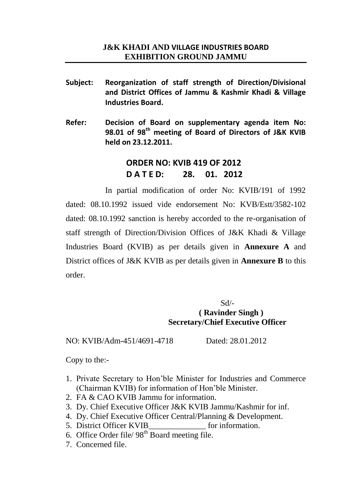- **Subject: Reorganization of staff strength of Direction/Divisional and District Offices of Jammu & Kashmir Khadi & Village Industries Board.**
- **Refer: Decision of Board on supplementary agenda item No: 98.01 of 98th meeting of Board of Directors of J&K KVIB held on 23.12.2011.**

# **ORDER NO: KVIB 419 OF 2012 D A T E D: 28. 01. 2012**

In partial modification of order No: KVIB/191 of 1992 dated: 08.10.1992 issued vide endorsement No: KVB/Estt/3582-102 dated: 08.10.1992 sanction is hereby accorded to the re-organisation of staff strength of Direction/Division Offices of J&K Khadi & Village Industries Board (KVIB) as per details given in **Annexure A** and District offices of J&K KVIB as per details given in **Annexure B** to this order.

> $Sd$ <sup>-</sup> **( Ravinder Singh ) Secretary/Chief Executive Officer**

NO: KVIB/Adm-451/4691-4718 Dated: 28.01.2012

Copy to the:-

- 1. Private Secretary to Hon'ble Minister for Industries and Commerce (Chairman KVIB) for information of Hon'ble Minister.
- 2. FA & CAO KVIB Jammu for information.
- 3. Dy. Chief Executive Officer J&K KVIB Jammu/Kashmir for inf.
- 4. Dy. Chief Executive Officer Central/Planning & Development.
- 5. District Officer KVIB for information.
- 6. Office Order file/  $98<sup>th</sup>$  Board meeting file.
- 7. Concerned file.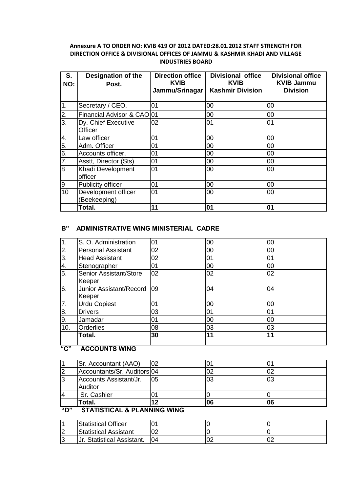### **Annexure A TO ORDER NO: KVIB 419 OF 2012 DATED:28.01.2012 STAFF STRENGTH FOR DIRECTION OFFICE & DIVISIONAL OFFICES OF JAMMU & KASHMIR KHADI AND VILLAGE INDUSTRIES BOARD**

| S.<br>NO:        | <b>Designation of the</b><br>Post.    | <b>Direction office</b><br><b>KVIB</b><br>Jammu/Srinagar | <b>Divisional office</b><br><b>KVIB</b><br><b>Kashmir Division</b> | <b>Divisional office</b><br><b>KVIB Jammu</b><br><b>Division</b> |
|------------------|---------------------------------------|----------------------------------------------------------|--------------------------------------------------------------------|------------------------------------------------------------------|
| $\overline{1}$ . | Secretary / CEO.                      | 01                                                       | 00                                                                 | 00                                                               |
| $\frac{2}{3}$    | Financial Advisor & CAO 01            |                                                          | 00                                                                 | 00                                                               |
|                  | Dy. Chief Executive<br><b>Officer</b> | 02                                                       | 01                                                                 | 01                                                               |
|                  | Law officer                           | 01                                                       | 00                                                                 | 00                                                               |
| $\frac{4}{5}$    | Adm. Officer                          | 01                                                       | 00                                                                 | 00                                                               |
| 6.               | Accounts officer.                     | 01                                                       | 00                                                                 | 00                                                               |
| $\overline{7}$ . | Asstt, Director (Sts)                 | 01                                                       | 00                                                                 | 00                                                               |
| $\overline{8}$   | Khadi Development<br>officer          | 01                                                       | 00                                                                 | 00                                                               |
| 9                | Publicity officer                     | 01                                                       | 00                                                                 | 00                                                               |
| 10               | Development officer<br>(Beekeeping)   | 01                                                       | 00                                                                 | 00                                                               |
|                  | Total.                                | 11                                                       | 01                                                                 | 01                                                               |

### **B" ADMINISTRATIVE WING MINISTERIAL CADRE**

| 1.               | S. O. Administration      | 01 | 00 | 00 |
|------------------|---------------------------|----|----|----|
| $\frac{2}{3}$    | <b>Personal Assistant</b> | 02 | 00 | 00 |
|                  | <b>Head Assistant</b>     | 02 | 01 | 01 |
| 4.               | Stenographer              | 01 | 00 | 00 |
| $\overline{5}$ . | Senior Assistant/Store    | 02 | 02 | 02 |
|                  | Keeper                    |    |    |    |
| 6.               | Junior Assistant/Record   | 09 | 04 | 04 |
|                  | Keeper                    |    |    |    |
| $\overline{7}$ . | <b>Urdu Copiest</b>       | 01 | 00 | 00 |
| 8.               | <b>Drivers</b>            | 03 | 01 | 01 |
| 9.               | Jamadar                   | 01 | 00 | 00 |
| 10.              | <b>Orderlies</b>          | 08 | 03 | 03 |
|                  | Total.                    | 30 | 11 | 11 |
|                  |                           |    |    |    |

## **"C" ACCOUNTS WING**

|                | Total.                      | 0   | 06 | 06 |
|----------------|-----------------------------|-----|----|----|
| 4              | Sr. Cashier                 |     |    |    |
|                | <b>Auditor</b>              |     |    |    |
| 3              | Accounts Assistant/Jr.      | I05 | 03 | 03 |
| $\overline{2}$ | Accountants/Sr. Auditors 04 |     | 02 |    |
|                | Sr. Accountant (AAO)        | 02  |    |    |

# **"D" STATISTICAL & PLANNING WING**

|        | <b>Statistical Officer</b> |     |   |  |
|--------|----------------------------|-----|---|--|
| $\sim$ | Statistical Assistant      | ∩≏  |   |  |
|        | Jr. Statistical Assistant. | I04 | u |  |